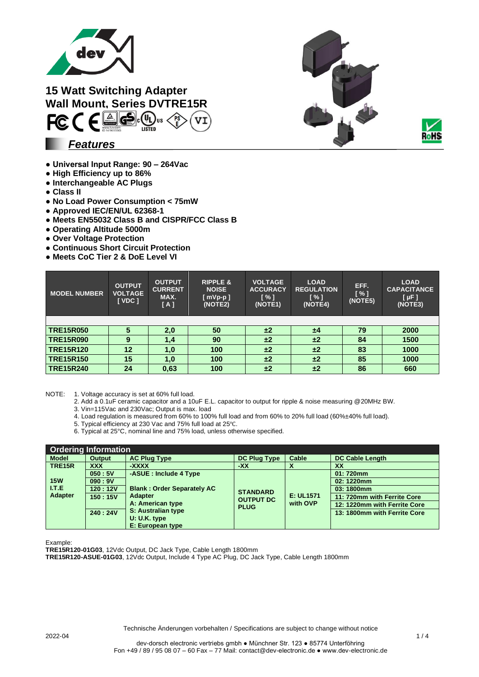

**15 Watt Switching Adapter Wall Mount, Series DVTRE15R**<br> **FC (**  $\epsilon$  $\leq$  $\epsilon$   $\leq$   $\epsilon$   $\leq$   $\epsilon$   $\leq$   $\epsilon$   $\leq$   $\epsilon$   $\leq$   $\epsilon$   $\leq$   $\epsilon$   $\leq$   $\epsilon$   $\leq$   $\epsilon$   $\leq$   $\epsilon$   $\leq$   $\epsilon$   $\leq$   $\epsilon$   $\leq$   $\epsilon$   $\leq$   $\epsilon$   $\leq$   $\epsilon$   $\leq$   $\epsilon$   $\le$  $\sqrt{\frac{PS}{F}}$ 

*Features*

- **Universal Input Range: 90 – 264Vac**
- **High Efficiency up to 86%**
- **Interchangeable AC Plugs**
- **Class II**
- **No Load Power Consumption < 75mW**
- **Approved IEC/EN/UL 62368-1**
- **Meets EN55032 Class B and CISPR/FCC Class B**
- **Operating Altitude 5000m**
- **Over Voltage Protection**
- **Continuous Short Circuit Protection**
- **Meets CoC Tier 2 & DoE Level VI**

| <b>MODEL NUMBER</b> | <b>OUTPUT</b><br><b>VOLTAGE</b><br>[ VDC ] | <b>OUTPUT</b><br><b>CURRENT</b><br>MAX.<br>[A] | <b>RIPPLE &amp;</b><br><b>NOISE</b><br>$[$ mVp-p $]$<br>(NOTE2) | <b>VOLTAGE</b><br><b>ACCURACY</b><br>$\lceil \% \rceil$<br>(NOTE1) | <b>LOAD</b><br><b>REGULATION</b><br>$\lceil \% \rceil$<br>(NOTE4) | EFF.<br>[%]<br>(NOTE5) | <b>LOAD</b><br><b>CAPACITANCE</b><br>$[ \mu F ]$<br>(NOTE3) |
|---------------------|--------------------------------------------|------------------------------------------------|-----------------------------------------------------------------|--------------------------------------------------------------------|-------------------------------------------------------------------|------------------------|-------------------------------------------------------------|
|                     |                                            |                                                |                                                                 |                                                                    |                                                                   |                        |                                                             |
| <b>TRE15R050</b>    |                                            | 2,0                                            | 50                                                              | ±2                                                                 | ±4                                                                | 79                     | 2000                                                        |
| <b>TRE15R090</b>    | 9                                          | 1,4                                            | 90                                                              | ±2                                                                 | ±2                                                                | 84                     | 1500                                                        |
| <b>TRE15R120</b>    | 12                                         | 1,0                                            | 100                                                             | ±2                                                                 | ±2                                                                | 83                     | 1000                                                        |
| <b>TRE15R150</b>    | 15                                         | 1,0                                            | 100                                                             | ±2                                                                 | ±2                                                                | 85                     | 1000                                                        |
| <b>TRE15R240</b>    | 24                                         | 0,63                                           | 100                                                             | ±2                                                                 | ±2                                                                | 86                     | 660                                                         |

NOTE: 1. Voltage accuracy is set at 60% full load.

- 2. Add a 0.1uF ceramic capacitor and a 10uF E.L. capacitor to output for ripple & noise measuring @20MHz BW.
- 3. Vin=115Vac and 230Vac; Output is max. load
- 4. Load regulation is measured from 60% to 100% full load and from 60% to 20% full load (60%±40% full load).
- 5. Typical efficiency at 230 Vac and 75% full load at 25℃.
- 6. Typical at 25°C, nominal line and 75% load, unless otherwise specified.

| <b>Ordering Information</b> |                               |                                   |                                                    |                       |                              |  |  |
|-----------------------------|-------------------------------|-----------------------------------|----------------------------------------------------|-----------------------|------------------------------|--|--|
| <b>Model</b>                | <b>Output</b>                 | <b>AC Plug Type</b>               | <b>DC Plug Type</b>                                | Cable                 | <b>DC Cable Length</b>       |  |  |
| <b>TRE15R</b>               | <b>XXX</b>                    | -XXXX                             | -XX                                                |                       | XX                           |  |  |
|                             | 050:5V                        | -ASUE: Include 4 Type             |                                                    |                       | 01:720mm                     |  |  |
| <b>15W</b>                  | 090:9V                        |                                   |                                                    |                       | 02: 1220mm                   |  |  |
| <b>ITE</b>                  | 120:12V                       | <b>Blank: Order Separately AC</b> | <b>STANDARD</b><br><b>OUTPUT DC</b><br><b>PLUG</b> | E: UL1571<br>with OVP | 03:1800mm                    |  |  |
| Adapter                     | 150:15V                       | <b>Adapter</b>                    |                                                    |                       | 11: 720mm with Ferrite Core  |  |  |
|                             |                               | A: American type                  |                                                    |                       | 12: 1220mm with Ferrite Core |  |  |
|                             | S: Australian type<br>240:24V |                                   |                                                    |                       | 13: 1800mm with Ferrite Core |  |  |
|                             |                               | $U: U.K.$ type                    |                                                    |                       |                              |  |  |
|                             |                               | E: European type                  |                                                    |                       |                              |  |  |

Example:

**TRE15R120-01G03**, 12Vdc Output, DC Jack Type, Cable Length 1800mm

**TRE15R120-ASUE-01G03**, 12Vdc Output, Include 4 Type AC Plug, DC Jack Type, Cable Length 1800mm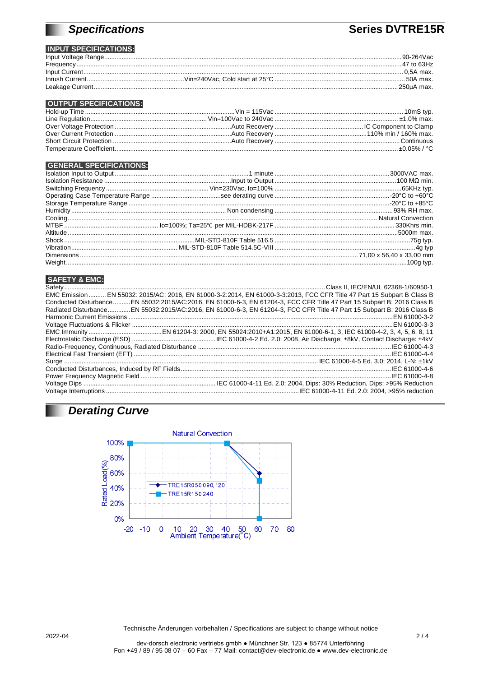# **Specifications**

## **Series DVTRE15R**

### **INPUT SPECIFICATIONS:**

|                                                                                                                                                                                                                                                                                                                                                                                                                                                                                                                                                                            | .90-264Vac  |
|----------------------------------------------------------------------------------------------------------------------------------------------------------------------------------------------------------------------------------------------------------------------------------------------------------------------------------------------------------------------------------------------------------------------------------------------------------------------------------------------------------------------------------------------------------------------------|-------------|
| $\begin{minipage}{0.9\linewidth} \textbf{Frequency} \end{minipage} \begin{minipage}{0.9\linewidth} \textbf{Frequency} \end{minipage} \begin{minipage}{0.9\linewidth} \textbf{Frequency} \end{minipage} \begin{minipage}{0.9\linewidth} \textbf{Frequency} \end{minipage} \begin{minipage}{0.9\linewidth} \textbf{query} \textbf{query} \textbf{query} \textbf{query} \textbf{query} \textbf{query} \textbf{query} \textbf{query} \textbf{query} \textbf{query} \textbf{query} \textbf{query} \textbf{query} \textbf{query} \textbf{query} \textbf{query} \textbf{query} \$ | .47 to 63Hz |
|                                                                                                                                                                                                                                                                                                                                                                                                                                                                                                                                                                            |             |
|                                                                                                                                                                                                                                                                                                                                                                                                                                                                                                                                                                            |             |
|                                                                                                                                                                                                                                                                                                                                                                                                                                                                                                                                                                            | .250uA max. |

### **OUTPUT SPECIFICATIONS:**

#### **GENERAL SPECIFICATIONS:**

#### **SAFETY & EMC:**

п

| EMC Emission  EN 55032: 2015/AC: 2016, EN 61000-3-2:2014, EN 61000-3-3:2013, FCC CFR Title 47 Part 15 Subpart B Class B |
|-------------------------------------------------------------------------------------------------------------------------|
| Conducted DisturbanceEN 55032:2015/AC:2016, EN 61000-6-3, EN 61204-3, FCC CFR Title 47 Part 15 Subpart B: 2016 Class B  |
| Radiated DisturbanceEN 55032:2015/AC:2016, EN 61000-6-3, EN 61204-3, FCC CFR Title 47 Part 15 Subpart B: 2016 Class B   |
|                                                                                                                         |
|                                                                                                                         |
|                                                                                                                         |
|                                                                                                                         |
|                                                                                                                         |
|                                                                                                                         |
|                                                                                                                         |
|                                                                                                                         |
|                                                                                                                         |
|                                                                                                                         |
|                                                                                                                         |

# Derating Curve



Technische Änderungen vorbehalten / Specifications are subject to change without notice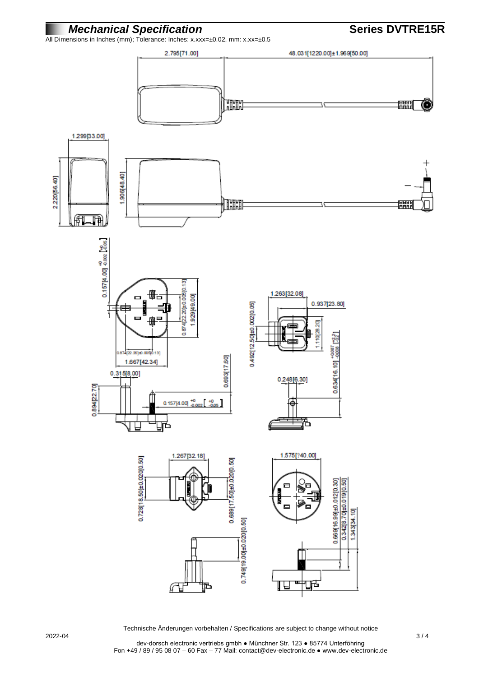## *Mechanical Specification* **Series DVTRE15R**



2022-04 3 / 4

Technische Änderungen vorbehalten / Specifications are subject to change without notice